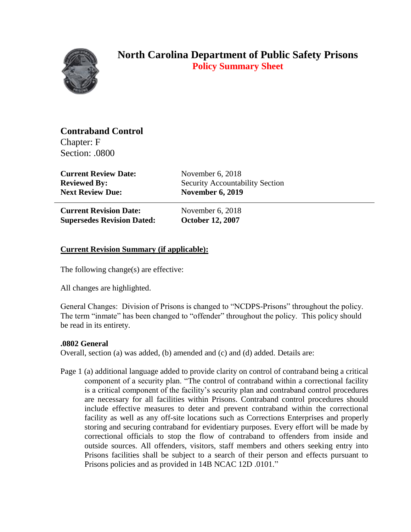

# **North Carolina Department of Public Safety Prisons Policy Summary Sheet**

## **Contraband Control**

Chapter: F Section: .0800

**Current Review Date:** November 6, 2018 **Next Review Due: November 6, 2019** 

**Reviewed By:** Security Accountability Section

**Current Revision Date:** November 6, 2018 **Supersedes Revision Dated: October 12, 2007**

## **Current Revision Summary (if applicable):**

The following change(s) are effective:

All changes are highlighted.

General Changes: Division of Prisons is changed to "NCDPS-Prisons" throughout the policy. The term "inmate" has been changed to "offender" throughout the policy. This policy should be read in its entirety.

### **.0802 General**

Overall, section (a) was added, (b) amended and (c) and (d) added. Details are:

Page 1 (a) additional language added to provide clarity on control of contraband being a critical component of a security plan. "The control of contraband within a correctional facility is a critical component of the facility's security plan and contraband control procedures are necessary for all facilities within Prisons. Contraband control procedures should include effective measures to deter and prevent contraband within the correctional facility as well as any off-site locations such as Corrections Enterprises and properly storing and securing contraband for evidentiary purposes. Every effort will be made by correctional officials to stop the flow of contraband to offenders from inside and outside sources. All offenders, visitors, staff members and others seeking entry into Prisons facilities shall be subject to a search of their person and effects pursuant to Prisons policies and as provided in 14B NCAC 12D .0101."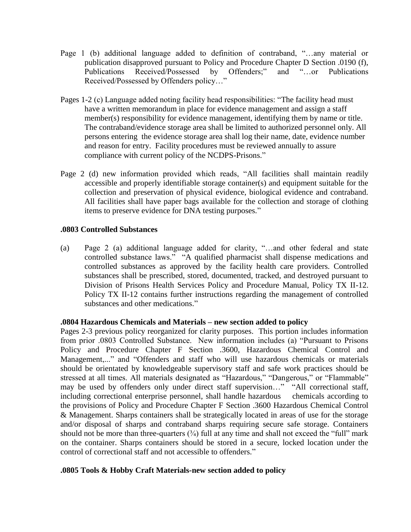- Page 1 (b) additional language added to definition of contraband, "…any material or publication disapproved pursuant to Policy and Procedure Chapter D Section .0190 (f), Publications Received/Possessed by Offenders;" and "…or Publications Received/Possessed by Offenders policy…"
- Pages 1-2 (c) Language added noting facility head responsibilities: "The facility head must have a written memorandum in place for evidence management and assign a staff member(s) responsibility for evidence management, identifying them by name or title. The contraband/evidence storage area shall be limited to authorized personnel only. All persons entering the evidence storage area shall log their name, date, evidence number and reason for entry. Facility procedures must be reviewed annually to assure compliance with current policy of the NCDPS-Prisons."
- Page 2 (d) new information provided which reads, "All facilities shall maintain readily accessible and properly identifiable storage container(s) and equipment suitable for the collection and preservation of physical evidence, biological evidence and contraband. All facilities shall have paper bags available for the collection and storage of clothing items to preserve evidence for DNA testing purposes."

#### **.0803 Controlled Substances**

(a) Page 2 (a) additional language added for clarity, "…and other federal and state controlled substance laws." "A qualified pharmacist shall dispense medications and controlled substances as approved by the facility health care providers. Controlled substances shall be prescribed, stored, documented, tracked, and destroyed pursuant to Division of Prisons Health Services Policy and Procedure Manual, Policy TX II-12. Policy TX II-12 contains further instructions regarding the management of controlled substances and other medications."

#### **.0804 Hazardous Chemicals and Materials – new section added to policy**

Pages 2-3 previous policy reorganized for clarity purposes. This portion includes information from prior .0803 Controlled Substance. New information includes (a) "Pursuant to Prisons Policy and Procedure Chapter F Section .3600, Hazardous Chemical Control and Management,..." and "Offenders and staff who will use hazardous chemicals or materials should be orientated by knowledgeable supervisory staff and safe work practices should be stressed at all times. All materials designated as "Hazardous," "Dangerous," or "Flammable" may be used by offenders only under direct staff supervision…" "All correctional staff, including correctional enterprise personnel, shall handle hazardous chemicals according to the provisions of Policy and Procedure Chapter F Section .3600 Hazardous Chemical Control & Management. Sharps containers shall be strategically located in areas of use for the storage and/or disposal of sharps and contraband sharps requiring secure safe storage. Containers should not be more than three-quarters  $(3/4)$  full at any time and shall not exceed the "full" mark on the container. Sharps containers should be stored in a secure, locked location under the control of correctional staff and not accessible to offenders."

#### **.0805 Tools & Hobby Craft Materials-new section added to policy**